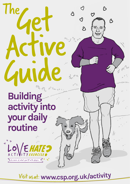

<sup>V</sup>isi<sup>t</sup> <sup>u</sup>sat: **<sup>w</sup>ww.c<sup>s</sup>p.o<sup>r</sup>g.uk/activit<sup>y</sup>**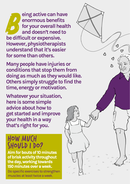B **eing active can have enormous benefits for your overall health and doesn't need to be difficult or expensive. However, physiotherapists understand that it's easier for some than others.**

**Many people have injuries or conditions that stop them from doing as much as they would like. Others simply struggle to find the time, energy or motivation.** 

Ą

**Whatever your situation, here is some simple advice about how to get started and improve your health in a way that's right for you.**

#### HOW MUCH SHOULD I DO?

**Aim for bouts of 10 minutes of brisk activity throughout the day, working towards 150 minutes over a week.**

Do specific exercises to strengthen muscles at least twice a week.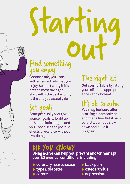# Startin

#### Find something you enjoy

**Chances are,** you'll stick with a new activity that you enjoy. So don't worry if it's not the most taxing to start with – the best activity is the one you actually do.

# Set goals

**Start gradually** and give yourself goals to build up to. Set realistic targets and you'll soon see the positive effects of exercise, without overdoing it.

# The right kit

**Get comfortable** by kitting yourself out in appropriate shoes and clothing.

It's ok to ache **You may feel sore after starting** a new activity – and that's fine. But if pain persists, perhaps slow down and build it up again.

#### DID YOU KNOW?

**Being active can help you prevent and/or manage over 20 medical conditions, including:**

- **coronary heart disease**
- **type 2 diabetes**
- **cancer**
- **back pain**
- **osteoarthritis**
- **depression.**

 $\mathcal{U}_{\ell}$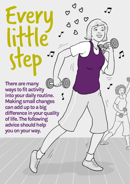**There are many ways to fit activity into your daily routine. Making small changes can add up to a big difference in your quality of life. The following advice should help you on your way.**

Every

little

ste<br>ste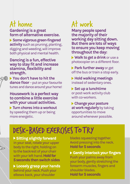# At home

#### **Gardening is a great form of alternative exercise.**

**Some vigorous green-fingered activity** such as pruning, planting, digging and weeding, will improve both physical and mental health.

#### **Dancing is a fun, effective way to stay fit and increase stamina, flexibility and strength.**

**You don't have to hit the dance floor** – put on your favourite tunes and dance around your home!

#### **Housework is a perfect way to combine a little exercise with your usual activities.**

**Turn chores into a workout**  by speeding them up or being more energetic.

# At work

**Many people spend the majority of their working day sitting down. But there are lots of ways to ensure you keep moving throughout the day:**

**Walk to get a drink** or use a photocopier on a different floor.

**Park further away** or get off the bus or train a stop early.

**Hold walking meetings** instead of sedentary ones.

**Set up a lunchtime**  or post-work activity club with co-workers.

**Change your posture at work regularly** by taking opportunities to move around whenever possible.

# DESK-BASED EXERCISES TO TRY

**Sitting slightly forward** in your seat, rotate your upper body to the right, holding on to the backrest of your chair with your left hand. **Hold for 5 seconds then switch sides**

**Loosely grasp your hands** behind your neck. Push your elbows back, your shoulder

blades squeezing together. Avoid pressing into the neck. **Hold for 5 seconds**

**Gently interlock your fingers** 

Push your palms away from your body, gently stretching the forearm muscles, fingers and shoulder blades. **Hold for 5 seconds**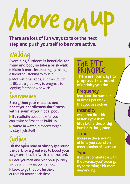# Move on

**There are lots of fun ways to take the next step and push yourself to be more active.**

# Walking

**Exercising outdoors is beneficial for mind and body so take a brisk walk.**

**Make it more interesting** by taking a friend or listening to music.

**Motivational apps,** such as Couch to 5K, are a great way to progress to jogging for those who wish.

### Swimming

**Strengthen your muscles and boost your cardiovascular fitness with a swim at your local pool.**

▶ **Be realistic** about how far you can swim at first, then build up.

**You're in water,** but don't forget to stay hydrated!

# Cycling

**Hit the open road or simply get round the park for a great way to boost your long-term health (with a helmet on).**

**Pace yourself** and plan your journey so it's within what you can do.

**Look to go that bit further,**  or that bit faster each time.

# THE FITT PRINCIPLE

**There are four ways to progress the amount of activity you do:**

#### **Frequency**

**increase the number of times per week that you are active**

#### **Intensity**

**walk that little bit faster, cycle that little bit harder, or dig harder in the garden**

#### **Time**

**increase the amount of time you spend on each session of exercise**

#### **Type**

**if you're comfortable with the exercise you're doing, try something a bit more demanding.**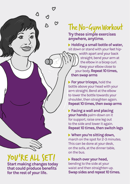## The No-Gym Workout **anywhere, anytime.**

**Holding a small bottle of water,**  sit down or stand with your feet hipwidth apart and your back straight, bend your arm at the elbow in a bicep curl. Keep your elbow close to your body. **Repeat 10 times, then swap arms**

**For your triceps,** hold the bottle above your head with your arm straight. Bend at the elbow to lower the bottle towards your shoulder, then straighten again. **Repeat 10 times, then swap arms**

**Facing a wall and placing your hands** palm-down on it for support, raise one leg out to the side and lower it again. **Repeat 10 times, then switch legs** 

**When you're sitting down,**  march on the spot for 2-3 minutes. This can be done at your desk, on the sofa, at the dinner table, on the bus.

**Reach over your head,**  bending to the side at your waist and then straighten up. **Swap sides and repeat 10 times.** 

YOU'RE ALL SET!

**for the rest of your life.**

**Start making changes today that could produce benefits**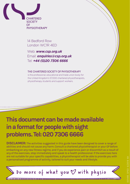

14 Bedford Row London WC1R 4ED

Web: *www.csp.org.uk* Email: *enquiries@csp.org.uk* Tel: *+44 (0)20 7306 6666*

#### THE CHARTERED SOCIETY OF PHYSIOTHERAPY

is the professional, educational and trade union body for the United Kingdom's 57,000 chartered physiotherapists, physiotherapy students and support workers.

#### **This document can be made available in a format for people with sight problems. Tel: 020 7306 6666**

**DISCLAIMER:** The activities suggested in this guide have been designed to cover a range of abilities and should not cause any harm. Consult a chartered physiotherapist or your GP before embarking on any new fitness regime, and if you do experience pain or discomfort as a result of any of the exercises, stop immediately and speak to a health professional. If the exercises here are not suitable for your specific capabilities, a physiotherapist will be able to provide you with a personalised programme of activity, tailored to suit your needs and lifestyle.